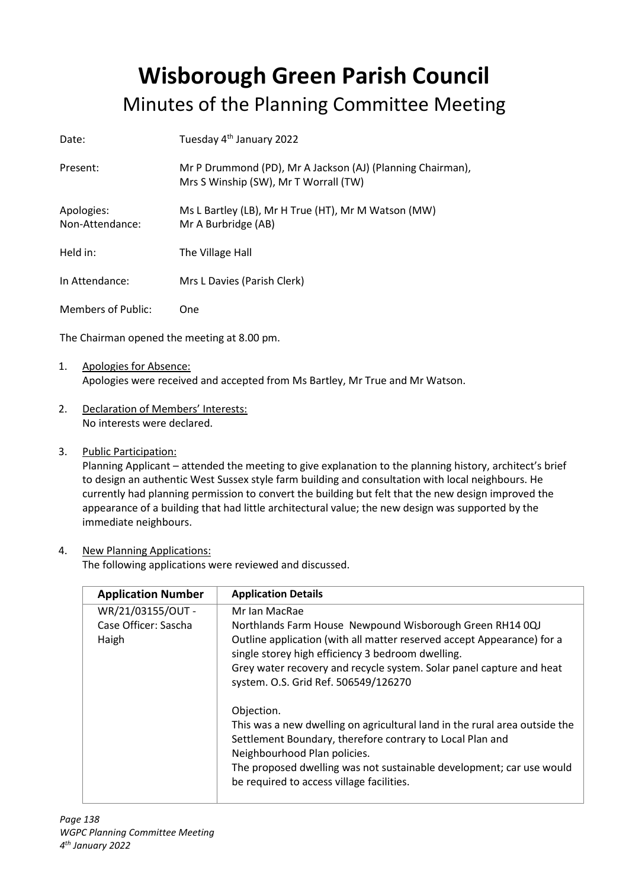## **Wisborough Green Parish Council** Minutes of the Planning Committee Meeting

| Date:                         | Tuesday 4 <sup>th</sup> January 2022                                                                |
|-------------------------------|-----------------------------------------------------------------------------------------------------|
| Present:                      | Mr P Drummond (PD), Mr A Jackson (AJ) (Planning Chairman),<br>Mrs S Winship (SW), Mr T Worrall (TW) |
| Apologies:<br>Non-Attendance: | Ms L Bartley (LB), Mr H True (HT), Mr M Watson (MW)<br>Mr A Burbridge (AB)                          |
| Held in:                      | The Village Hall                                                                                    |
| In Attendance:                | Mrs L Davies (Parish Clerk)                                                                         |
| Members of Public:            | One                                                                                                 |

The Chairman opened the meeting at 8.00 pm.

- 1. Apologies for Absence: Apologies were received and accepted from Ms Bartley, Mr True and Mr Watson.
- 2. Declaration of Members' Interests: No interests were declared.
- 3. Public Participation:

Planning Applicant – attended the meeting to give explanation to the planning history, architect's brief to design an authentic West Sussex style farm building and consultation with local neighbours. He currently had planning permission to convert the building but felt that the new design improved the appearance of a building that had little architectural value; the new design was supported by the immediate neighbours.

## 4. New Planning Applications:

The following applications were reviewed and discussed.

| <b>Application Number</b>                          | <b>Application Details</b>                                                                                                                                                                                                                                                                                                                                                                                                                                                                                                                                                                                                             |
|----------------------------------------------------|----------------------------------------------------------------------------------------------------------------------------------------------------------------------------------------------------------------------------------------------------------------------------------------------------------------------------------------------------------------------------------------------------------------------------------------------------------------------------------------------------------------------------------------------------------------------------------------------------------------------------------------|
| WR/21/03155/OUT -<br>Case Officer: Sascha<br>Haigh | Mr Ian MacRae<br>Northlands Farm House Newpound Wisborough Green RH14 0QJ<br>Outline application (with all matter reserved accept Appearance) for a<br>single storey high efficiency 3 bedroom dwelling.<br>Grey water recovery and recycle system. Solar panel capture and heat<br>system. O.S. Grid Ref. 506549/126270<br>Objection.<br>This was a new dwelling on agricultural land in the rural area outside the<br>Settlement Boundary, therefore contrary to Local Plan and<br>Neighbourhood Plan policies.<br>The proposed dwelling was not sustainable development; car use would<br>be required to access village facilities. |